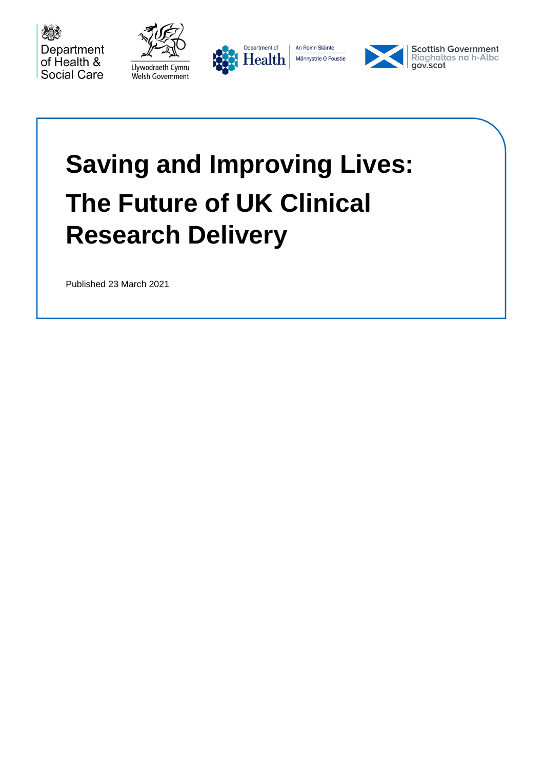









**Scottish Government** Riaghaltas na h-Alba<br>gov.scot

# **Saving and Improving Lives: The Future of UK Clinical Research Delivery**

Published 23 March 2021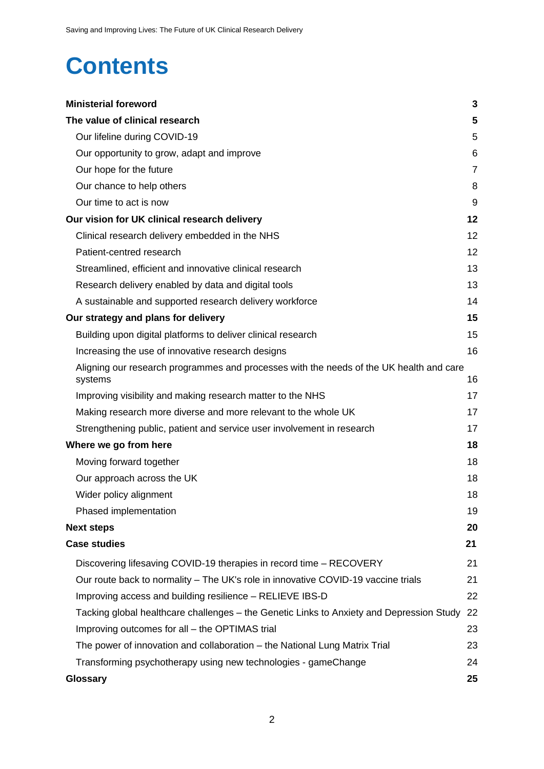## **Contents**

| <b>Ministerial foreword</b>                                                                        | 3              |
|----------------------------------------------------------------------------------------------------|----------------|
| The value of clinical research                                                                     | 5              |
| Our lifeline during COVID-19                                                                       | 5              |
| Our opportunity to grow, adapt and improve                                                         | 6              |
| Our hope for the future                                                                            | $\overline{7}$ |
| Our chance to help others                                                                          | 8              |
| Our time to act is now                                                                             | 9              |
| Our vision for UK clinical research delivery                                                       | 12             |
| Clinical research delivery embedded in the NHS                                                     | 12             |
| Patient-centred research                                                                           | 12             |
| Streamlined, efficient and innovative clinical research                                            | 13             |
| Research delivery enabled by data and digital tools                                                | 13             |
| A sustainable and supported research delivery workforce                                            | 14             |
| Our strategy and plans for delivery                                                                | 15             |
| Building upon digital platforms to deliver clinical research                                       | 15             |
| Increasing the use of innovative research designs                                                  | 16             |
| Aligning our research programmes and processes with the needs of the UK health and care<br>systems | 16             |
| Improving visibility and making research matter to the NHS                                         | 17             |
| Making research more diverse and more relevant to the whole UK                                     | 17             |
| Strengthening public, patient and service user involvement in research                             | 17             |
| Where we go from here                                                                              | 18             |
| Moving forward together                                                                            | 18             |
| Our approach across the UK                                                                         | 18             |
| Wider policy alignment                                                                             | 18             |
| Phased implementation                                                                              | 19             |
| <b>Next steps</b>                                                                                  | 20             |
| <b>Case studies</b>                                                                                | 21             |
| Discovering lifesaving COVID-19 therapies in record time - RECOVERY                                | 21             |
| Our route back to normality – The UK's role in innovative COVID-19 vaccine trials                  | 21             |
| Improving access and building resilience - RELIEVE IBS-D                                           | 22             |
| Tacking global healthcare challenges – the Genetic Links to Anxiety and Depression Study           | 22             |
| Improving outcomes for all - the OPTIMAS trial                                                     | 23             |
| The power of innovation and collaboration – the National Lung Matrix Trial                         | 23             |
| Transforming psychotherapy using new technologies - gameChange                                     | 24             |
| <b>Glossary</b>                                                                                    | 25             |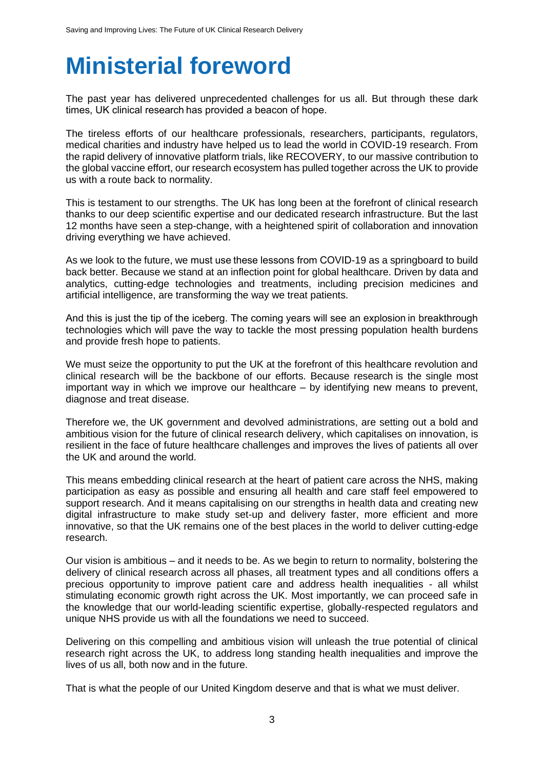## <span id="page-2-0"></span>**Ministerial foreword**

The past year has delivered unprecedented challenges for us all. But through these dark times, UK clinical research has provided a beacon of hope.

The tireless efforts of our healthcare professionals, researchers, participants, regulators, medical charities and industry have helped us to lead the world in COVID-19 research. From the rapid delivery of innovative platform trials, like RECOVERY, to our massive contribution to the global vaccine effort, our research ecosystem has pulled together across the UK to provide us with a route back to normality.

This is testament to our strengths. The UK has long been at the forefront of clinical research thanks to our deep scientific expertise and our dedicated research infrastructure. But the last 12 months have seen a step-change, with a heightened spirit of collaboration and innovation driving everything we have achieved.

As we look to the future, we must use these lessons from COVID-19 as a springboard to build back better. Because we stand at an inflection point for global healthcare. Driven by data and analytics, cutting-edge technologies and treatments, including precision medicines and artificial intelligence, are transforming the way we treat patients.

And this is just the tip of the iceberg. The coming years will see an explosion in breakthrough technologies which will pave the way to tackle the most pressing population health burdens and provide fresh hope to patients.   

We must seize the opportunity to put the UK at the forefront of this healthcare revolution and clinical research will be the backbone of our efforts. Because research is the single most important way in which we improve our healthcare – by identifying new means to prevent, diagnose and treat disease.

Therefore we, the UK government and devolved administrations, are setting out a bold and ambitious vision for the future of clinical research delivery, which capitalises on innovation, is resilient in the face of future healthcare challenges and improves the lives of patients all over the UK and around the world.

This means embedding clinical research at the heart of patient care across the NHS, making participation as easy as possible and ensuring all health and care staff feel empowered to support research. And it means capitalising on our strengths in health data and creating new digital infrastructure to make study set-up and delivery faster, more efficient and more innovative, so that the UK remains one of the best places in the world to deliver cutting-edge research.

Our vision is ambitious – and it needs to be. As we begin to return to normality, bolstering the delivery of clinical research across all phases, all treatment types and all conditions offers a precious opportunity to improve patient care and address health inequalities - all whilst stimulating economic growth right across the UK. Most importantly, we can proceed safe in the knowledge that our world-leading scientific expertise, globally-respected regulators and unique NHS provide us with all the foundations we need to succeed.

Delivering on this compelling and ambitious vision will unleash the true potential of clinical research right across the UK, to address long standing health inequalities and improve the lives of us all, both now and in the future.

That is what the people of our United Kingdom deserve and that is what we must deliver.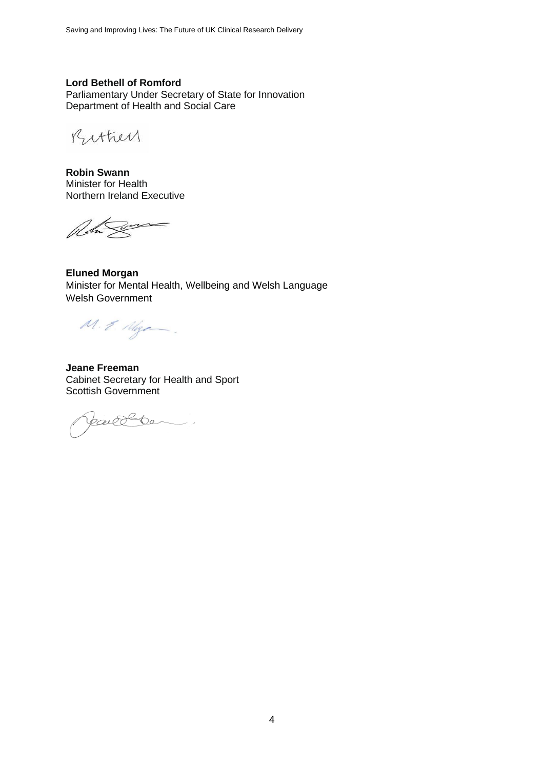#### **Lord Bethell of Romford**

Parliamentary Under Secretary of State for Innovation Department of Health and Social Care

Bithey

**Robin Swann** Minister for Health Northern Ireland Executive

Reta Secret

**Eluned Morgan** Minister for Mental Health, Wellbeing and Welsh Language Welsh Government

 $M.2.1$  Maga

**Jeane Freeman** Cabinet Secretary for Health and Sport Scottish Government

Jaille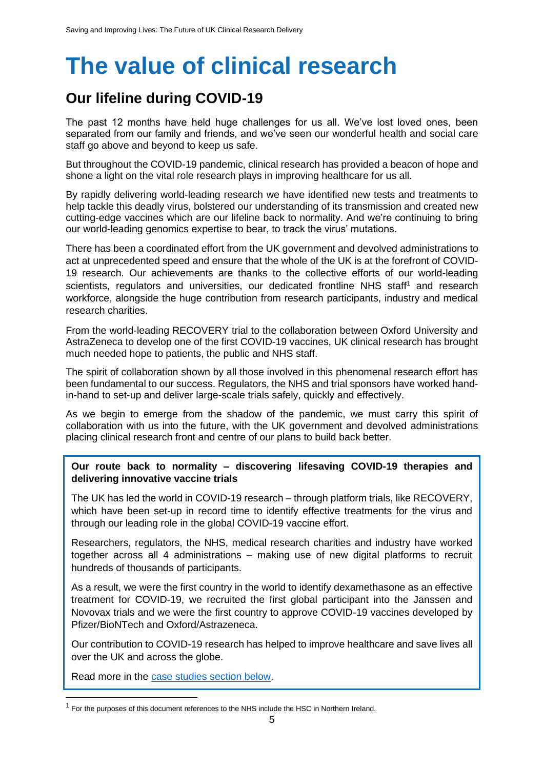## <span id="page-4-0"></span>**The value of clinical research**

### <span id="page-4-1"></span>**Our lifeline during COVID-19**

The past 12 months have held huge challenges for us all. We've lost loved ones, been separated from our family and friends, and we've seen our wonderful health and social care staff go above and beyond to keep us safe.

But throughout the COVID-19 pandemic, clinical research has provided a beacon of hope and shone a light on the vital role research plays in improving healthcare for us all.

By rapidly delivering world-leading research we have identified new tests and treatments to help tackle this deadly virus, bolstered our understanding of its transmission and created new cutting-edge vaccines which are our lifeline back to normality. And we're continuing to bring our world-leading genomics expertise to bear, to track the virus' mutations.

There has been a coordinated effort from the UK government and devolved administrations to act at unprecedented speed and ensure that the whole of the UK is at the forefront of COVID-19 research. Our achievements are thanks to the collective efforts of our world-leading scientists, regulators and universities, our dedicated frontline NHS staff<sup>1</sup> and research workforce, alongside the huge contribution from research participants, industry and medical research charities.

From the world-leading RECOVERY trial to the collaboration between Oxford University and AstraZeneca to develop one of the first COVID-19 vaccines, UK clinical research has brought much needed hope to patients, the public and NHS staff.

The spirit of collaboration shown by all those involved in this phenomenal research effort has been fundamental to our success. Regulators, the NHS and trial sponsors have worked handin-hand to set-up and deliver large-scale trials safely, quickly and effectively.

As we begin to emerge from the shadow of the pandemic, we must carry this spirit of collaboration with us into the future, with the UK government and devolved administrations placing clinical research front and centre of our plans to build back better.

#### **Our route back to normality – discovering lifesaving COVID-19 therapies and delivering innovative vaccine trials**

The UK has led the world in COVID-19 research – through platform trials, like RECOVERY, which have been set-up in record time to identify effective treatments for the virus and through our leading role in the global COVID-19 vaccine effort.

Researchers, regulators, the NHS, medical research charities and industry have worked together across all 4 administrations – making use of new digital platforms to recruit hundreds of thousands of participants.

As a result, we were the first country in the world to identify dexamethasone as an effective treatment for COVID-19, we recruited the first global participant into the Janssen and Novovax trials and we were the first country to approve COVID-19 vaccines developed by Pfizer/BioNTech and Oxford/Astrazeneca.

Our contribution to COVID-19 research has helped to improve healthcare and save lives all over the UK and across the globe.

Read more in the [case studies section below.](#page-20-0)

<sup>&</sup>lt;sup>1</sup> For the purposes of this document references to the NHS include the HSC in Northern Ireland.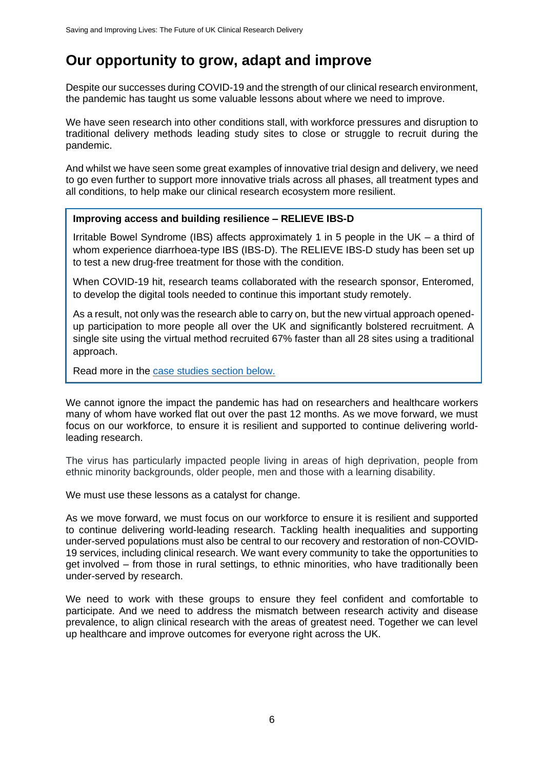### <span id="page-5-0"></span>**Our opportunity to grow, adapt and improve**

Despite our successes during COVID-19 and the strength of our clinical research environment, the pandemic has taught us some valuable lessons about where we need to improve.

We have seen research into other conditions stall, with workforce pressures and disruption to traditional delivery methods leading study sites to close or struggle to recruit during the pandemic.

And whilst we have seen some great examples of innovative trial design and delivery, we need to go even further to support more innovative trials across all phases, all treatment types and all conditions, to help make our clinical research ecosystem more resilient.

#### **Improving access and building resilience – RELIEVE IBS-D**

Irritable Bowel Syndrome (IBS) affects approximately 1 in 5 people in the UK – a third of whom experience diarrhoea-type IBS (IBS-D). The RELIEVE IBS-D study has been set up to test a new drug-free treatment for those with the condition.

When COVID-19 hit, research teams collaborated with the research sponsor, Enteromed, to develop the digital tools needed to continue this important study remotely.

As a result, not only was the research able to carry on, but the new virtual approach openedup participation to more people all over the UK and significantly bolstered recruitment. A single site using the virtual method recruited 67% faster than all 28 sites using a traditional approach.

Read more in the [case studies section below.](#page-21-0)

We cannot ignore the impact the pandemic has had on researchers and healthcare workers many of whom have worked flat out over the past 12 months. As we move forward, we must focus on our workforce, to ensure it is resilient and supported to continue delivering worldleading research.

The virus has particularly impacted people living in areas of high deprivation, people from ethnic minority backgrounds, older people, men and those with a learning disability.

We must use these lessons as a catalyst for change.

As we move forward, we must focus on our workforce to ensure it is resilient and supported to continue delivering world-leading research. Tackling health inequalities and supporting under-served populations must also be central to our recovery and restoration of non-COVID-19 services, including clinical research. We want every community to take the opportunities to get involved – from those in rural settings, to ethnic minorities, who have traditionally been under-served by research.

We need to work with these groups to ensure they feel confident and comfortable to participate. And we need to address the mismatch between research activity and disease prevalence, to align clinical research with the areas of greatest need. Together we can level up healthcare and improve outcomes for everyone right across the UK.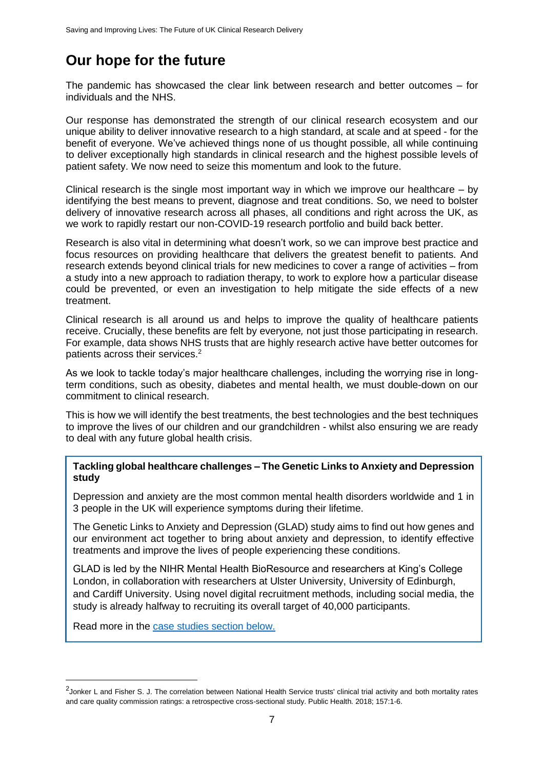## <span id="page-6-0"></span>**Our hope for the future**

The pandemic has showcased the clear link between research and better outcomes – for individuals and the NHS.

Our response has demonstrated the strength of our clinical research ecosystem and our unique ability to deliver innovative research to a high standard, at scale and at speed - for the benefit of everyone. We've achieved things none of us thought possible, all while continuing to deliver exceptionally high standards in clinical research and the highest possible levels of patient safety. We now need to seize this momentum and look to the future.

Clinical research is the single most important way in which we improve our healthcare  $-$  by identifying the best means to prevent, diagnose and treat conditions. So, we need to bolster delivery of innovative research across all phases, all conditions and right across the UK, as we work to rapidly restart our non-COVID-19 research portfolio and build back better.

Research is also vital in determining what doesn't work, so we can improve best practice and focus resources on providing healthcare that delivers the greatest benefit to patients. And research extends beyond clinical trials for new medicines to cover a range of activities – from a study into a new approach to radiation therapy, to work to explore how a particular disease could be prevented, or even an investigation to help mitigate the side effects of a new treatment.

Clinical research is all around us and helps to improve the quality of healthcare patients receive. Crucially, these benefits are felt by everyone*,* not just those participating in research. For example, data shows NHS trusts that are highly research active have better outcomes for patients across their services.<sup>2</sup>

As we look to tackle today's major healthcare challenges, including the worrying rise in longterm conditions, such as obesity, diabetes and mental health, we must double-down on our commitment to clinical research.

This is how we will identify the best treatments, the best technologies and the best techniques to improve the lives of our children and our grandchildren - whilst also ensuring we are ready to deal with any future global health crisis.

#### **Tackling global healthcare challenges – The Genetic Links to Anxiety and Depression study**

Depression and anxiety are the most common mental health disorders worldwide and 1 in 3 people in the UK will experience symptoms during their lifetime.

The Genetic Links to Anxiety and Depression (GLAD) study aims to find out how genes and our environment act together to bring about anxiety and depression, to identify effective treatments and improve the lives of people experiencing these conditions.

GLAD is led by the NIHR Mental Health BioResource and researchers at King's College London, in collaboration with researchers at Ulster University, University of Edinburgh, and Cardiff University. Using novel digital recruitment methods, including social media, the study is already halfway to recruiting its overall target of 40,000 participants.

Read more in the [case studies section below.](#page-21-1)

<sup>&</sup>lt;sup>2</sup> Jonker L and Fisher S. J. The correlation between National Health Service trusts' clinical trial activity and both mortality rates and care quality commission ratings: a retrospective cross-sectional study. Public Health. 2018; 157:1-6.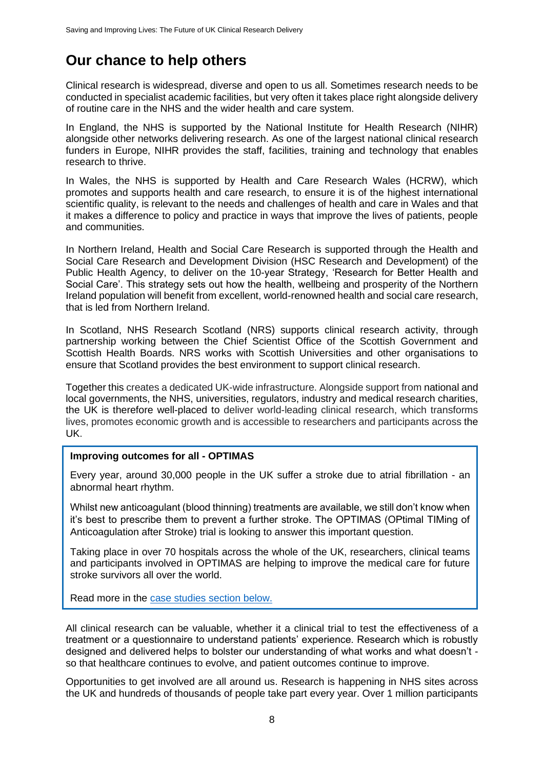### <span id="page-7-0"></span>**Our chance to help others**

Clinical research is widespread, diverse and open to us all. Sometimes research needs to be conducted in specialist academic facilities, but very often it takes place right alongside delivery of routine care in the NHS and the wider health and care system.

In England, the NHS is supported by the National Institute for Health Research (NIHR) alongside other networks delivering research. As one of the largest national clinical research funders in Europe, NIHR provides the staff, facilities, training and technology that enables research to thrive.

In Wales, the NHS is supported by Health and Care Research Wales (HCRW), which promotes and supports health and care research, to ensure it is of the highest international scientific quality, is relevant to the needs and challenges of health and care in Wales and that it makes a difference to policy and practice in ways that improve the lives of patients, people and communities.

In Northern Ireland, Health and Social Care Research is supported through the Health and Social Care Research and Development Division (HSC Research and Development) of the Public Health Agency, to deliver on the 10-year Strategy, 'Research for Better Health and Social Care'. This strategy sets out how the health, wellbeing and prosperity of the Northern Ireland population will benefit from excellent, world-renowned health and social care research, that is led from Northern Ireland.

In Scotland, NHS Research Scotland (NRS) supports clinical research activity, through partnership working between the Chief Scientist Office of the Scottish Government and Scottish Health Boards. NRS works with Scottish Universities and other organisations to ensure that Scotland provides the best environment to support clinical research.

Together this creates a dedicated UK-wide infrastructure. Alongside support from national and local governments, the NHS, universities, regulators, industry and medical research charities, the UK is therefore well-placed to deliver world-leading clinical research, which transforms lives, promotes economic growth and is accessible to researchers and participants across the UK.

#### **Improving outcomes for all - OPTIMAS**

Every year, around 30,000 people in the UK suffer a stroke due to atrial fibrillation - an abnormal heart rhythm.

Whilst new anticoagulant (blood thinning) treatments are available, we still don't know when it's best to prescribe them to prevent a further stroke. The OPTIMAS (OPtimal TIMing of Anticoagulation after Stroke) trial is looking to answer this important question.

Taking place in over 70 hospitals across the whole of the UK, researchers, clinical teams and participants involved in OPTIMAS are helping to improve the medical care for future stroke survivors all over the world.

Read more in the [case studies section below.](#page-22-0)

All clinical research can be valuable, whether it a clinical trial to test the effectiveness of a treatment or a questionnaire to understand patients' experience. Research which is robustly designed and delivered helps to bolster our understanding of what works and what doesn't so that healthcare continues to evolve, and patient outcomes continue to improve.

Opportunities to get involved are all around us. Research is happening in NHS sites across the UK and hundreds of thousands of people take part every year. Over 1 million participants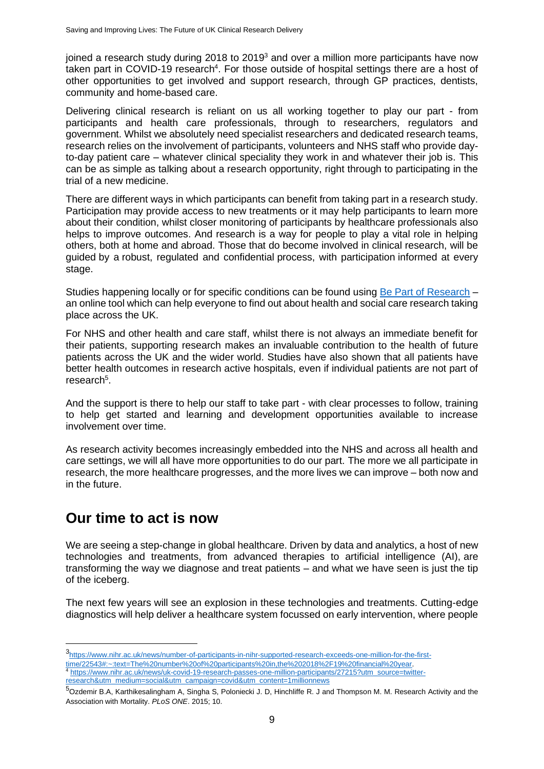ioined a research study during 2018 to 2019 $3$  and over a million more participants have now taken part in COVID-19 research<sup>4</sup>. For those outside of hospital settings there are a host of other opportunities to get involved and support research, through GP practices, dentists, community and home-based care.

Delivering clinical research is reliant on us all working together to play our part - from participants and health care professionals, through to researchers, regulators and government. Whilst we absolutely need specialist researchers and dedicated research teams, research relies on the involvement of participants, volunteers and NHS staff who provide dayto-day patient care – whatever clinical speciality they work in and whatever their job is. This can be as simple as talking about a research opportunity, right through to participating in the trial of a new medicine.

There are different ways in which participants can benefit from taking part in a research study. Participation may provide access to new treatments or it may help participants to learn more about their condition, whilst closer monitoring of participants by healthcare professionals also helps to improve outcomes. And research is a way for people to play a vital role in helping others, both at home and abroad. Those that do become involved in clinical research, will be guided by a robust, regulated and confidential process, with participation informed at every stage.

Studies happening locally or for specific conditions can be found using [Be Part of Research](https://bepartofresearch.nihr.ac.uk/) – an online tool which can help everyone to find out about health and social care research taking place across the UK.

For NHS and other health and care staff, whilst there is not always an immediate benefit for their patients, supporting research makes an invaluable contribution to the health of future patients across the UK and the wider world. Studies have also shown that all patients have better health outcomes in research active hospitals, even if individual patients are not part of research<sup>5</sup>.

And the support is there to help our staff to take part - with clear processes to follow, training to help get started and learning and development opportunities available to increase involvement over time.

As research activity becomes increasingly embedded into the NHS and across all health and care settings, we will all have more opportunities to do our part. The more we all participate in research, the more healthcare progresses, and the more lives we can improve – both now and in the future.

#### <span id="page-8-0"></span>**Our time to act is now**

We are seeing a step-change in global healthcare. Driven by data and analytics, a host of new technologies and treatments, from advanced therapies to artificial intelligence (AI), are transforming the way we diagnose and treat patients – and what we have seen is just the tip of the iceberg.

The next few years will see an explosion in these technologies and treatments. Cutting-edge diagnostics will help deliver a healthcare system focussed on early intervention, where people

<sup>3</sup> [https://www.nihr.ac.uk/news/number-of-participants-in-nihr-supported-research-exceeds-one-million-for-the-first](https://www.nihr.ac.uk/news/number-of-participants-in-nihr-supported-research-exceeds-one-million-for-the-first-time/22543#:~:text=The%20number%20of%20participants%20in,the%202018%2F19%20financial%20year)[time/22543#:~:text=The%20number%20of%20participants%20in,the%202018%2F19%20financial%20year.](https://www.nihr.ac.uk/news/number-of-participants-in-nihr-supported-research-exceeds-one-million-for-the-first-time/22543#:~:text=The%20number%20of%20participants%20in,the%202018%2F19%20financial%20year) [https://www.nihr.ac.uk/news/uk-covid-19-research-passes-one-million-participants/27215?utm\\_source=twitter](https://www.nihr.ac.uk/news/uk-covid-19-research-passes-one-million-participants/27215?utm_source=twitter-research&utm_medium=social&utm_campaign=covid&utm_content=1millionnews)[research&utm\\_medium=social&utm\\_campaign=covid&utm\\_content=1millionnews](https://www.nihr.ac.uk/news/uk-covid-19-research-passes-one-million-participants/27215?utm_source=twitter-research&utm_medium=social&utm_campaign=covid&utm_content=1millionnews)

<sup>5</sup>Ozdemir B.A, Karthikesalingham A, Singha S, Poloniecki J. D, Hinchliffe R. J and Thompson M. M. Research Activity and the Association with Mortality. *PLoS ONE*. 2015; 10.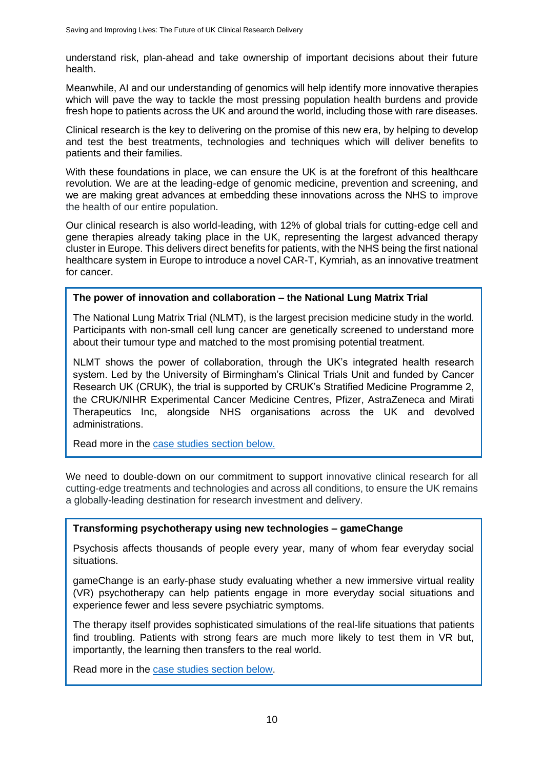understand risk, plan-ahead and take ownership of important decisions about their future health.

Meanwhile, AI and our understanding of genomics will help identify more innovative therapies which will pave the way to tackle the most pressing population health burdens and provide fresh hope to patients across the UK and around the world, including those with rare diseases.

Clinical research is the key to delivering on the promise of this new era, by helping to develop and test the best treatments, technologies and techniques which will deliver benefits to patients and their families.

With these foundations in place, we can ensure the UK is at the forefront of this healthcare revolution. We are at the leading-edge of genomic medicine, prevention and screening, and we are making great advances at embedding these innovations across the NHS to improve the health of our entire population.

Our clinical research is also world-leading, with 12% of global trials for cutting-edge cell and gene therapies already taking place in the UK, representing the largest advanced therapy cluster in Europe. This delivers direct benefits for patients, with the NHS being the first national healthcare system in Europe to introduce a novel CAR-T, Kymriah, as an innovative treatment for cancer.

#### **The power of innovation and collaboration – the National Lung Matrix Trial**

The National Lung Matrix Trial (NLMT), is the largest precision medicine study in the world. Participants with non-small cell lung cancer are genetically screened to understand more about their tumour type and matched to the most promising potential treatment.

NLMT shows the power of collaboration, through the UK's integrated health research system. Led by the University of Birmingham's Clinical Trials Unit and funded by Cancer Research UK (CRUK), the trial is supported by CRUK's Stratified Medicine Programme 2, the CRUK/NIHR Experimental Cancer Medicine Centres, Pfizer, AstraZeneca and Mirati Therapeutics Inc, alongside NHS organisations across the UK and devolved administrations.

Read more in the [case studies section below.](#page-22-1)

We need to double-down on our commitment to support innovative clinical research for all cutting-edge treatments and technologies and across all conditions, to ensure the UK remains a globally-leading destination for research investment and delivery.

#### **Transforming psychotherapy using new technologies – gameChange**

Psychosis affects thousands of people every year, many of whom fear everyday social situations.

gameChange is an early-phase study evaluating whether a new immersive virtual reality (VR) psychotherapy can help patients engage in more everyday social situations and experience fewer and less severe psychiatric symptoms.

The therapy itself provides sophisticated simulations of the real-life situations that patients find troubling. Patients with strong fears are much more likely to test them in VR but, importantly, the learning then transfers to the real world.

Read more in the [case studies section below.](#page-23-0)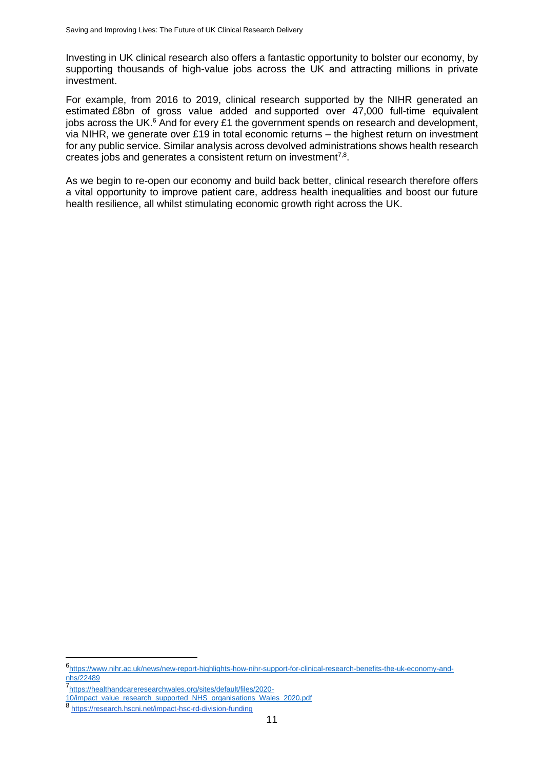Investing in UK clinical research also offers a fantastic opportunity to bolster our economy, by supporting thousands of high-value jobs across the UK and attracting millions in private investment.

For example, from 2016 to 2019, clinical research supported by the NIHR generated an estimated £8bn of gross value added and supported over 47,000 full-time equivalent iobs across the UK. $^{6}$  And for every £1 the government spends on research and development, via NIHR, we generate over £19 in total economic returns – the highest return on investment for any public service. Similar analysis across devolved administrations shows health research creates jobs and generates a consistent return on investment<sup>7,8</sup>.

As we begin to re-open our economy and build back better, clinical research therefore offers a vital opportunity to improve patient care, address health inequalities and boost our future health resilience, all whilst stimulating economic growth right across the UK.

<sup>6&</sup>lt;br>[https://www.nihr.ac.uk/news/new-report-highlights-how-nihr-support-for-clinical-research-benefits-the-uk-economy-and](https://www.nihr.ac.uk/news/new-report-highlights-how-nihr-support-for-clinical-research-benefits-the-uk-economy-and-nhs/22489)[nhs/22489](https://www.nihr.ac.uk/news/new-report-highlights-how-nihr-support-for-clinical-research-benefits-the-uk-economy-and-nhs/22489)

<sup>7</sup> [https://healthandcareresearchwales.org/sites/default/files/2020-](https://healthandcareresearchwales.org/sites/default/files/2020-10/impact_value_research_supported_NHS_organisations_Wales_2020.pdf)

[<sup>10/</sup>impact\\_value\\_research\\_supported\\_NHS\\_organisations\\_Wales\\_2020.pdf](https://healthandcareresearchwales.org/sites/default/files/2020-10/impact_value_research_supported_NHS_organisations_Wales_2020.pdf)

<sup>8</sup> <https://research.hscni.net/impact-hsc-rd-division-funding>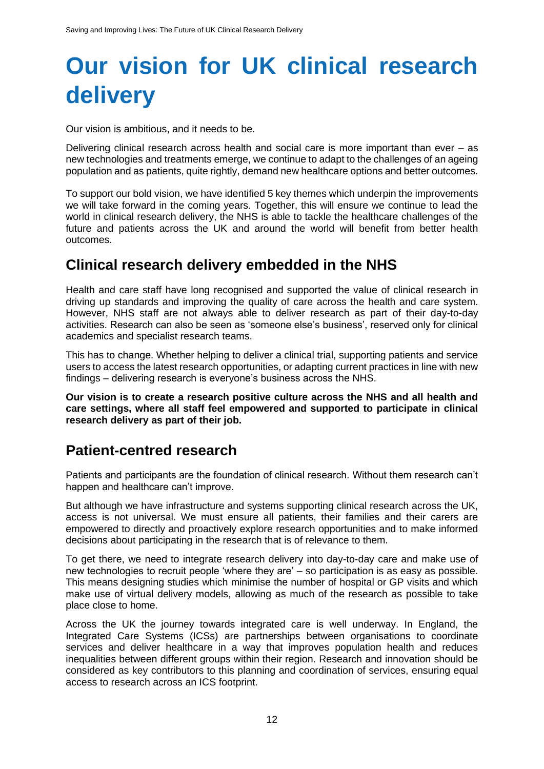## <span id="page-11-0"></span>**Our vision for UK clinical research delivery**

Our vision is ambitious, and it needs to be.

Delivering clinical research across health and social care is more important than ever – as new technologies and treatments emerge, we continue to adapt to the challenges of an ageing population and as patients, quite rightly, demand new healthcare options and better outcomes.

To support our bold vision, we have identified 5 key themes which underpin the improvements we will take forward in the coming years. Together, this will ensure we continue to lead the world in clinical research delivery, the NHS is able to tackle the healthcare challenges of the future and patients across the UK and around the world will benefit from better health outcomes.

#### <span id="page-11-1"></span>**Clinical research delivery embedded in the NHS**

Health and care staff have long recognised and supported the value of clinical research in driving up standards and improving the quality of care across the health and care system. However, NHS staff are not always able to deliver research as part of their day-to-day activities. Research can also be seen as 'someone else's business', reserved only for clinical academics and specialist research teams.

This has to change. Whether helping to deliver a clinical trial, supporting patients and service users to access the latest research opportunities, or adapting current practices in line with new findings – delivering research is everyone's business across the NHS.

**Our vision is to create a research positive culture across the NHS and all health and care settings, where all staff feel empowered and supported to participate in clinical research delivery as part of their job.** 

#### <span id="page-11-2"></span>**Patient-centred research**

Patients and participants are the foundation of clinical research. Without them research can't happen and healthcare can't improve.

But although we have infrastructure and systems supporting clinical research across the UK, access is not universal. We must ensure all patients, their families and their carers are empowered to directly and proactively explore research opportunities and to make informed decisions about participating in the research that is of relevance to them.

To get there, we need to integrate research delivery into day-to-day care and make use of new technologies to recruit people 'where they are' – so participation is as easy as possible. This means designing studies which minimise the number of hospital or GP visits and which make use of virtual delivery models, allowing as much of the research as possible to take place close to home.

Across the UK the journey towards integrated care is well underway. In England, the Integrated Care Systems (ICSs) are partnerships between organisations to coordinate services and deliver healthcare in a way that improves population health and reduces inequalities between different groups within their region. Research and innovation should be considered as key contributors to this planning and coordination of services, ensuring equal access to research across an ICS footprint.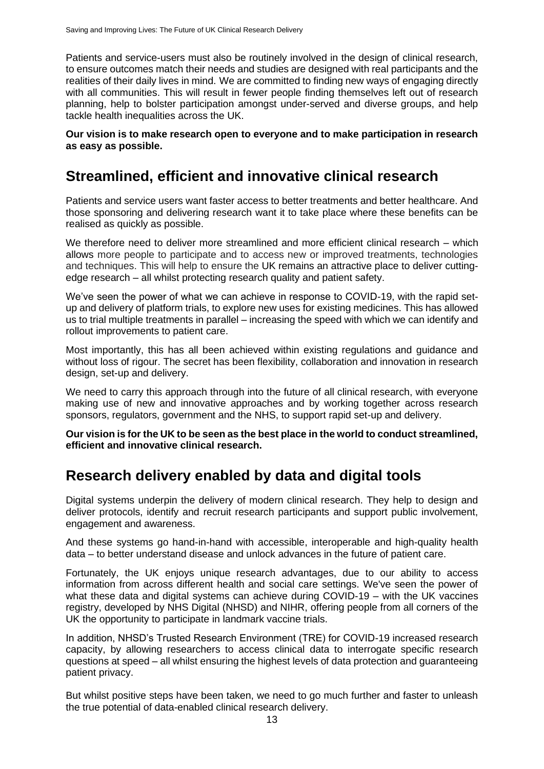Patients and service-users must also be routinely involved in the design of clinical research, to ensure outcomes match their needs and studies are designed with real participants and the realities of their daily lives in mind. We are committed to finding new ways of engaging directly with all communities. This will result in fewer people finding themselves left out of research planning, help to bolster participation amongst under-served and diverse groups, and help tackle health inequalities across the UK.

**Our vision is to make research open to everyone and to make participation in research as easy as possible.**

#### <span id="page-12-0"></span>**Streamlined, efficient and innovative clinical research**

Patients and service users want faster access to better treatments and better healthcare. And those sponsoring and delivering research want it to take place where these benefits can be realised as quickly as possible.

We therefore need to deliver more streamlined and more efficient clinical research – which allows more people to participate and to access new or improved treatments, technologies and techniques. This will help to ensure the UK remains an attractive place to deliver cuttingedge research – all whilst protecting research quality and patient safety.

We've seen the power of what we can achieve in response to COVID-19, with the rapid setup and delivery of platform trials, to explore new uses for existing medicines. This has allowed us to trial multiple treatments in parallel – increasing the speed with which we can identify and rollout improvements to patient care.

Most importantly, this has all been achieved within existing regulations and guidance and without loss of rigour. The secret has been flexibility, collaboration and innovation in research design, set-up and delivery.

We need to carry this approach through into the future of all clinical research, with everyone making use of new and innovative approaches and by working together across research sponsors, regulators, government and the NHS, to support rapid set-up and delivery.

**Our vision is for the UK to be seen as the best place in the world to conduct streamlined, efficient and innovative clinical research.** 

#### <span id="page-12-1"></span>**Research delivery enabled by data and digital tools**

Digital systems underpin the delivery of modern clinical research. They help to design and deliver protocols, identify and recruit research participants and support public involvement, engagement and awareness.

And these systems go hand-in-hand with accessible, interoperable and high-quality health data – to better understand disease and unlock advances in the future of patient care.

Fortunately, the UK enjoys unique research advantages, due to our ability to access information from across different health and social care settings. We've seen the power of what these data and digital systems can achieve during COVID-19 – with the UK vaccines registry, developed by NHS Digital (NHSD) and NIHR, offering people from all corners of the UK the opportunity to participate in landmark vaccine trials.

In addition, NHSD's Trusted Research Environment (TRE) for COVID-19 increased research capacity, by allowing researchers to access clinical data to interrogate specific research questions at speed – all whilst ensuring the highest levels of data protection and guaranteeing patient privacy.

But whilst positive steps have been taken, we need to go much further and faster to unleash the true potential of data-enabled clinical research delivery.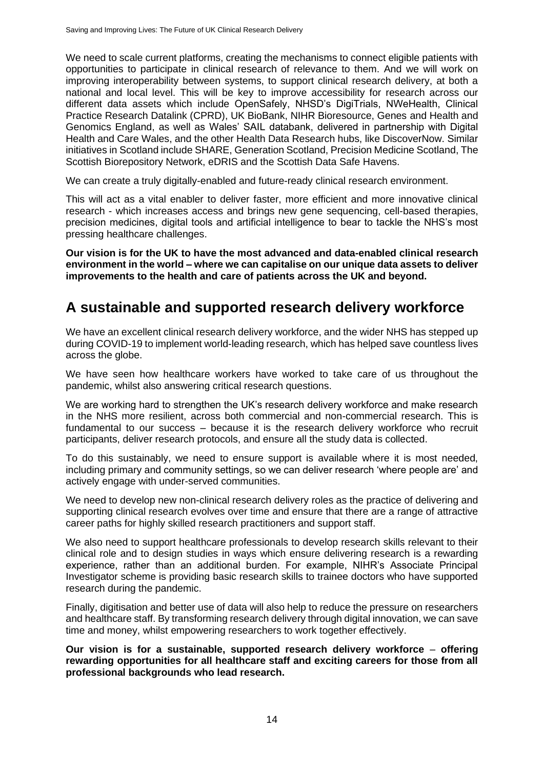We need to scale current platforms, creating the mechanisms to connect eligible patients with opportunities to participate in clinical research of relevance to them. And we will work on improving interoperability between systems, to support clinical research delivery, at both a national and local level. This will be key to improve accessibility for research across our different data assets which include OpenSafely, NHSD's DigiTrials, NWeHealth, Clinical Practice Research Datalink (CPRD), UK BioBank, NIHR Bioresource, Genes and Health and Genomics England, as well as Wales' SAIL databank, delivered in partnership with Digital Health and Care Wales, and the other Health Data Research hubs, like DiscoverNow. Similar initiatives in Scotland include SHARE, Generation Scotland, Precision Medicine Scotland, The Scottish Biorepository Network, eDRIS and the Scottish Data Safe Havens.

We can create a truly digitally-enabled and future-ready clinical research environment.

This will act as a vital enabler to deliver faster, more efficient and more innovative clinical research - which increases access and brings new gene sequencing, cell-based therapies, precision medicines, digital tools and artificial intelligence to bear to tackle the NHS's most pressing healthcare challenges.

**Our vision is for the UK to have the most advanced and data-enabled clinical research environment in the world – where we can capitalise on our unique data assets to deliver improvements to the health and care of patients across the UK and beyond.** 

#### <span id="page-13-0"></span>**A sustainable and supported research delivery workforce**

We have an excellent clinical research delivery workforce, and the wider NHS has stepped up during COVID-19 to implement world-leading research, which has helped save countless lives across the globe.

We have seen how healthcare workers have worked to take care of us throughout the pandemic, whilst also answering critical research questions.

We are working hard to strengthen the UK's research delivery workforce and make research in the NHS more resilient, across both commercial and non-commercial research. This is fundamental to our success – because it is the research delivery workforce who recruit participants, deliver research protocols, and ensure all the study data is collected.

To do this sustainably, we need to ensure support is available where it is most needed, including primary and community settings, so we can deliver research 'where people are' and actively engage with under-served communities.

We need to develop new non-clinical research delivery roles as the practice of delivering and supporting clinical research evolves over time and ensure that there are a range of attractive career paths for highly skilled research practitioners and support staff.

We also need to support healthcare professionals to develop research skills relevant to their clinical role and to design studies in ways which ensure delivering research is a rewarding experience, rather than an additional burden. For example, NIHR's Associate Principal Investigator scheme is providing basic research skills to trainee doctors who have supported research during the pandemic.

Finally, digitisation and better use of data will also help to reduce the pressure on researchers and healthcare staff. By transforming research delivery through digital innovation, we can save time and money, whilst empowering researchers to work together effectively.

**Our vision is for a sustainable, supported research delivery workforce** – **offering rewarding opportunities for all healthcare staff and exciting careers for those from all professional backgrounds who lead research.**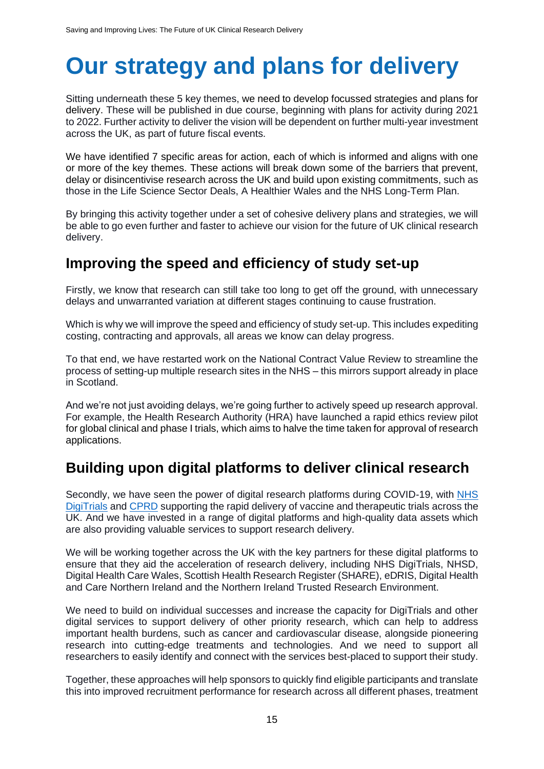## <span id="page-14-0"></span>**Our strategy and plans for delivery**

Sitting underneath these 5 key themes, we need to develop focussed strategies and plans for delivery. These will be published in due course, beginning with plans for activity during 2021 to 2022. Further activity to deliver the vision will be dependent on further multi-year investment across the UK, as part of future fiscal events.

We have identified 7 specific areas for action, each of which is informed and aligns with one or more of the key themes. These actions will break down some of the barriers that prevent, delay or disincentivise research across the UK and build upon existing commitments, such as those in the Life Science Sector Deals, A Healthier Wales and the NHS Long-Term Plan.

By bringing this activity together under a set of cohesive delivery plans and strategies, we will be able to go even further and faster to achieve our vision for the future of UK clinical research delivery.

#### **Improving the speed and efficiency of study set-up**

Firstly, we know that research can still take too long to get off the ground, with unnecessary delays and unwarranted variation at different stages continuing to cause frustration.

Which is why we will improve the speed and efficiency of study set-up. This includes expediting costing, contracting and approvals, all areas we know can delay progress.

To that end, we have restarted work on the National Contract Value Review to streamline the process of setting-up multiple research sites in the NHS – this mirrors support already in place in Scotland.

And we're not just avoiding delays, we're going further to actively speed up research approval. For example, the Health Research Authority (HRA) have launched a rapid ethics review pilot for global clinical and phase I trials, which aims to halve the time taken for approval of research applications.

### <span id="page-14-1"></span>**Building upon digital platforms to deliver clinical research**

Secondly, we have seen the power of digital research platforms during COVID-19, with [NHS](https://digital.nhs.uk/services/nhs-digitrials)  [DigiTrials](https://digital.nhs.uk/services/nhs-digitrials) and [CPRD](https://www.cprd.com/) supporting the rapid delivery of vaccine and therapeutic trials across the UK. And we have invested in a range of digital platforms and high-quality data assets which are also providing valuable services to support research delivery.

We will be working together across the UK with the key partners for these digital platforms to ensure that they aid the acceleration of research delivery, including NHS DigiTrials, NHSD, Digital Health Care Wales, Scottish Health Research Register (SHARE), eDRIS, Digital Health and Care Northern Ireland and the Northern Ireland Trusted Research Environment.

We need to build on individual successes and increase the capacity for DigiTrials and other digital services to support delivery of other priority research, which can help to address important health burdens, such as cancer and cardiovascular disease, alongside pioneering research into cutting-edge treatments and technologies. And we need to support all researchers to easily identify and connect with the services best-placed to support their study.

Together, these approaches will help sponsors to quickly find eligible participants and translate this into improved recruitment performance for research across all different phases, treatment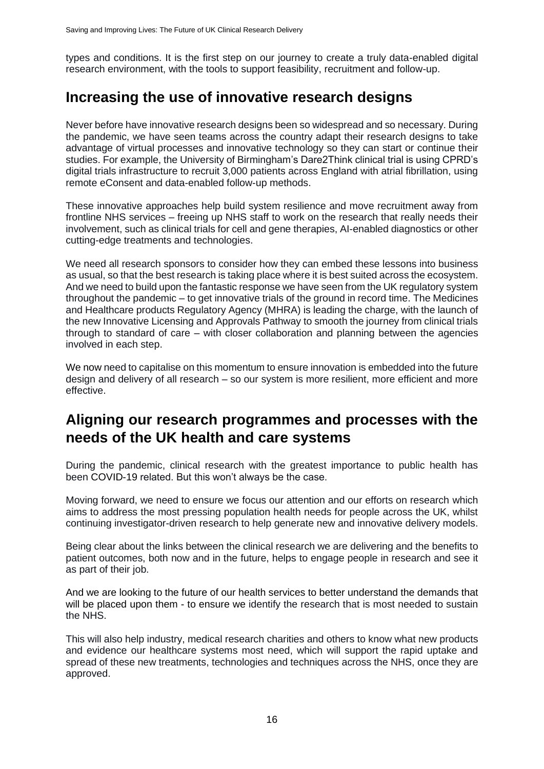types and conditions. It is the first step on our journey to create a truly data-enabled digital research environment, with the tools to support feasibility, recruitment and follow-up.

#### <span id="page-15-0"></span>**Increasing the use of innovative research designs**

Never before have innovative research designs been so widespread and so necessary. During the pandemic, we have seen teams across the country adapt their research designs to take advantage of virtual processes and innovative technology so they can start or continue their studies. For example, the University of Birmingham's Dare2Think clinical trial is using CPRD's digital trials infrastructure to recruit 3,000 patients across England with atrial fibrillation, using remote eConsent and data-enabled follow-up methods.

These innovative approaches help build system resilience and move recruitment away from frontline NHS services – freeing up NHS staff to work on the research that really needs their involvement, such as clinical trials for cell and gene therapies, AI-enabled diagnostics or other cutting-edge treatments and technologies.

We need all research sponsors to consider how they can embed these lessons into business as usual, so that the best research is taking place where it is best suited across the ecosystem. And we need to build upon the fantastic response we have seen from the UK regulatory system throughout the pandemic – to get innovative trials of the ground in record time. The Medicines and Healthcare products Regulatory Agency (MHRA) is leading the charge, with the launch of the new Innovative Licensing and Approvals Pathway to smooth the journey from clinical trials through to standard of care – with closer collaboration and planning between the agencies involved in each step.

We now need to capitalise on this momentum to ensure innovation is embedded into the future design and delivery of all research – so our system is more resilient, more efficient and more effective.

#### <span id="page-15-1"></span>**Aligning our research programmes and processes with the needs of the UK health and care systems**

During the pandemic, clinical research with the greatest importance to public health has been COVID-19 related. But this won't always be the case.

Moving forward, we need to ensure we focus our attention and our efforts on research which aims to address the most pressing population health needs for people across the UK, whilst continuing investigator-driven research to help generate new and innovative delivery models.

Being clear about the links between the clinical research we are delivering and the benefits to patient outcomes, both now and in the future, helps to engage people in research and see it as part of their job.

And we are looking to the future of our health services to better understand the demands that will be placed upon them - to ensure we identify the research that is most needed to sustain the NHS.

This will also help industry, medical research charities and others to know what new products and evidence our healthcare systems most need, which will support the rapid uptake and spread of these new treatments, technologies and techniques across the NHS, once they are approved.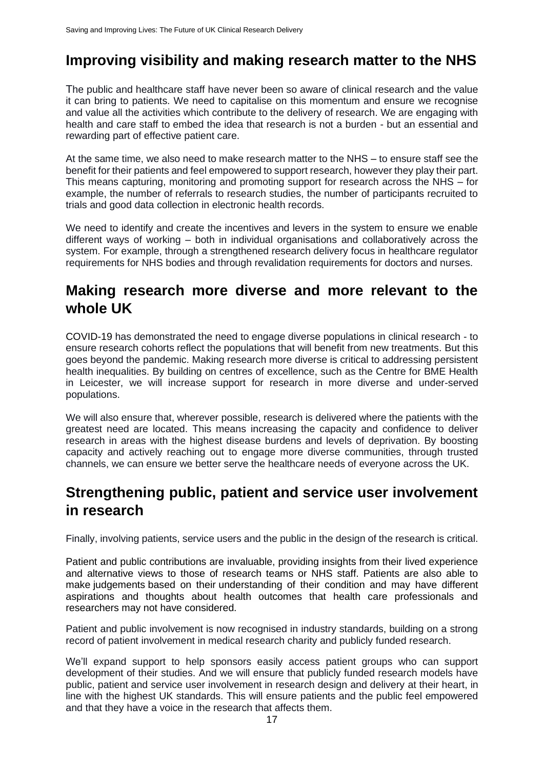### <span id="page-16-0"></span>**Improving visibility and making research matter to the NHS**

The public and healthcare staff have never been so aware of clinical research and the value it can bring to patients. We need to capitalise on this momentum and ensure we recognise and value all the activities which contribute to the delivery of research. We are engaging with health and care staff to embed the idea that research is not a burden - but an essential and rewarding part of effective patient care.

At the same time, we also need to make research matter to the NHS – to ensure staff see the benefit for their patients and feel empowered to support research, however they play their part. This means capturing, monitoring and promoting support for research across the NHS – for example, the number of referrals to research studies, the number of participants recruited to trials and good data collection in electronic health records.

We need to identify and create the incentives and levers in the system to ensure we enable different ways of working – both in individual organisations and collaboratively across the system. For example, through a strengthened research delivery focus in healthcare regulator requirements for NHS bodies and through revalidation requirements for doctors and nurses.

#### <span id="page-16-1"></span>**Making research more diverse and more relevant to the whole UK**

COVID-19 has demonstrated the need to engage diverse populations in clinical research - to ensure research cohorts reflect the populations that will benefit from new treatments. But this goes beyond the pandemic. Making research more diverse is critical to addressing persistent health inequalities. By building on centres of excellence, such as the Centre for BME Health in Leicester, we will increase support for research in more diverse and under-served populations.

We will also ensure that, wherever possible, research is delivered where the patients with the greatest need are located. This means increasing the capacity and confidence to deliver research in areas with the highest disease burdens and levels of deprivation. By boosting capacity and actively reaching out to engage more diverse communities, through trusted channels, we can ensure we better serve the healthcare needs of everyone across the UK.

#### <span id="page-16-2"></span>**Strengthening public, patient and service user involvement in research**

Finally, involving patients, service users and the public in the design of the research is critical.

Patient and public contributions are invaluable, providing insights from their lived experience and alternative views to those of research teams or NHS staff. Patients are also able to make judgements based on their understanding of their condition and may have different aspirations and thoughts about health outcomes that health care professionals and researchers may not have considered.

Patient and public involvement is now recognised in industry standards, building on a strong record of patient involvement in medical research charity and publicly funded research.

We'll expand support to help sponsors easily access patient groups who can support development of their studies. And we will ensure that publicly funded research models have public, patient and service user involvement in research design and delivery at their heart, in line with the highest UK standards. This will ensure patients and the public feel empowered and that they have a voice in the research that affects them.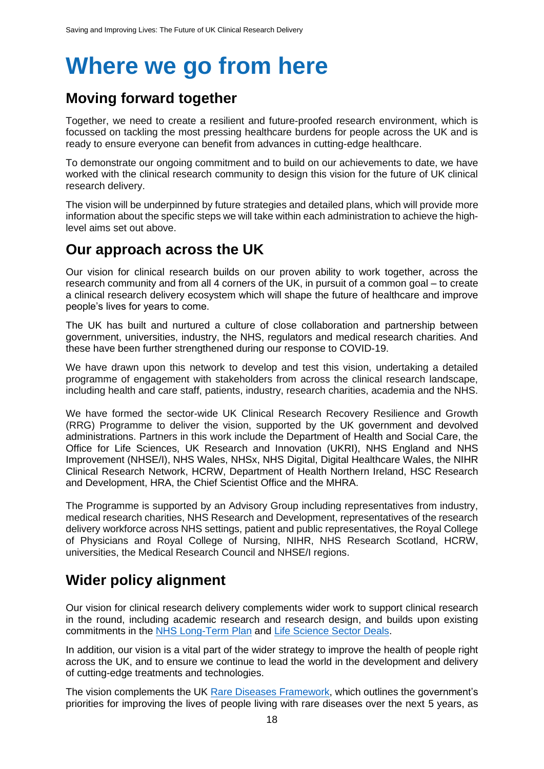## <span id="page-17-0"></span>**Where we go from here**

#### <span id="page-17-1"></span>**Moving forward together**

Together, we need to create a resilient and future-proofed research environment, which is focussed on tackling the most pressing healthcare burdens for people across the UK and is ready to ensure everyone can benefit from advances in cutting-edge healthcare.

To demonstrate our ongoing commitment and to build on our achievements to date, we have worked with the clinical research community to design this vision for the future of UK clinical research delivery.

The vision will be underpinned by future strategies and detailed plans, which will provide more information about the specific steps we will take within each administration to achieve the highlevel aims set out above.

#### <span id="page-17-2"></span>**Our approach across the UK**

Our vision for clinical research builds on our proven ability to work together, across the research community and from all 4 corners of the UK, in pursuit of a common goal – to create a clinical research delivery ecosystem which will shape the future of healthcare and improve people's lives for years to come.

The UK has built and nurtured a culture of close collaboration and partnership between government, universities, industry, the NHS, regulators and medical research charities. And these have been further strengthened during our response to COVID-19.

We have drawn upon this network to develop and test this vision, undertaking a detailed programme of engagement with stakeholders from across the clinical research landscape, including health and care staff, patients, industry, research charities, academia and the NHS.

We have formed the sector-wide UK Clinical Research Recovery Resilience and Growth (RRG) Programme to deliver the vision, supported by the UK government and devolved administrations. Partners in this work include the Department of Health and Social Care, the Office for Life Sciences, UK Research and Innovation (UKRI), NHS England and NHS Improvement (NHSE/I), NHS Wales, NHSx, NHS Digital, Digital Healthcare Wales, the NIHR Clinical Research Network, HCRW, Department of Health Northern Ireland, HSC Research and Development, HRA, the Chief Scientist Office and the MHRA.

The Programme is supported by an Advisory Group including representatives from industry, medical research charities, NHS Research and Development, representatives of the research delivery workforce across NHS settings, patient and public representatives, the Royal College of Physicians and Royal College of Nursing, NIHR, NHS Research Scotland, HCRW, universities, the Medical Research Council and NHSE/I regions.

## <span id="page-17-3"></span>**Wider policy alignment**

Our vision for clinical research delivery complements wider work to support clinical research in the round, including academic research and research design, and builds upon existing commitments in the [NHS Long-Term Plan](https://www.longtermplan.nhs.uk/publication/nhs-long-term-plan/) and [Life Science Sector Deals.](https://www.gov.uk/government/publications/life-sciences-sector-deal)

In addition, our vision is a vital part of the wider strategy to improve the health of people right across the UK, and to ensure we continue to lead the world in the development and delivery of cutting-edge treatments and technologies.

The vision complements the UK [Rare Diseases Framework,](https://www.gov.uk/government/publications/uk-rare-diseases-framework/the-uk-rare-diseases-framework) which outlines the government's priorities for improving the lives of people living with rare diseases over the next 5 years, as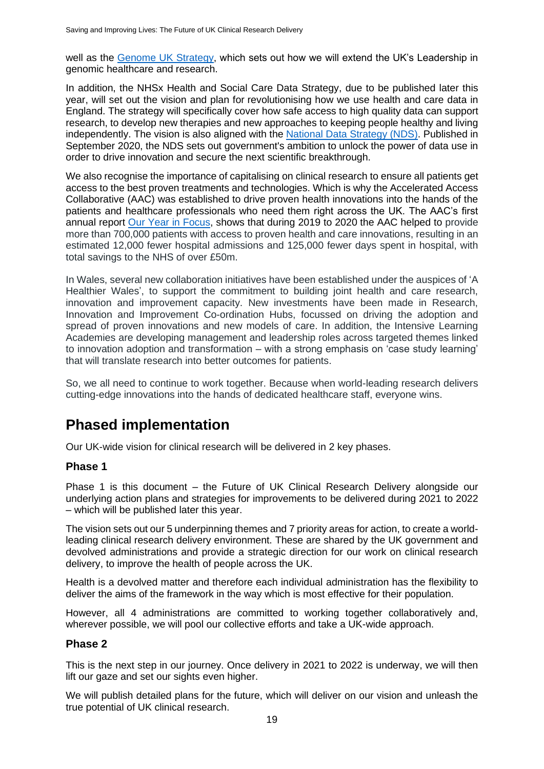well as the [Genome UK Strategy,](https://www.gov.uk/government/publications/genome-uk-the-future-of-healthcare) which sets out how we will extend the UK's Leadership in genomic healthcare and research.

In addition, the NHSx Health and Social Care Data Strategy, due to be published later this year, will set out the vision and plan for revolutionising how we use health and care data in England. The strategy will specifically cover how safe access to high quality data can support research, to develop new therapies and new approaches to keeping people healthy and living independently. The vision is also aligned with the [National Data Strategy \(NDS\).](https://www.gov.uk/government/publications/uk-national-data-strategy/national-data-strategy) Published in September 2020, the NDS sets out government's ambition to unlock the power of data use in order to drive innovation and secure the next scientific breakthrough.

We also recognise the importance of capitalising on clinical research to ensure all patients get access to the best proven treatments and technologies. Which is why the Accelerated Access Collaborative (AAC) was established to drive proven health innovations into the hands of the patients and healthcare professionals who need them right across the UK. The AAC's first annual report [Our Year in Focus,](https://www.england.nhs.uk/aac/publication/accelerated-access-collaborative-our-year-in-focus-2019-20/) shows that during 2019 to 2020 the AAC helped to provide more than 700,000 patients with access to proven health and care innovations, resulting in an estimated 12,000 fewer hospital admissions and 125,000 fewer days spent in hospital, with total savings to the NHS of over £50m.

In Wales, several new collaboration initiatives have been established under the auspices of 'A Healthier Wales', to support the commitment to building joint health and care research, innovation and improvement capacity. New investments have been made in Research, Innovation and Improvement Co-ordination Hubs, focussed on driving the adoption and spread of proven innovations and new models of care. In addition, the Intensive Learning Academies are developing management and leadership roles across targeted themes linked to innovation adoption and transformation – with a strong emphasis on 'case study learning' that will translate research into better outcomes for patients.

So, we all need to continue to work together. Because when world-leading research delivers cutting-edge innovations into the hands of dedicated healthcare staff, everyone wins.

#### <span id="page-18-0"></span>**Phased implementation**

Our UK-wide vision for clinical research will be delivered in 2 key phases.

#### **Phase 1**

Phase 1 is this document – the Future of UK Clinical Research Delivery alongside our underlying action plans and strategies for improvements to be delivered during 2021 to 2022 – which will be published later this year.

The vision sets out our 5 underpinning themes and 7 priority areas for action, to create a worldleading clinical research delivery environment. These are shared by the UK government and devolved administrations and provide a strategic direction for our work on clinical research delivery, to improve the health of people across the UK.

Health is a devolved matter and therefore each individual administration has the flexibility to deliver the aims of the framework in the way which is most effective for their population.

However, all 4 administrations are committed to working together collaboratively and, wherever possible, we will pool our collective efforts and take a UK-wide approach.

#### **Phase 2**

This is the next step in our journey. Once delivery in 2021 to 2022 is underway, we will then lift our gaze and set our sights even higher.

We will publish detailed plans for the future, which will deliver on our vision and unleash the true potential of UK clinical research.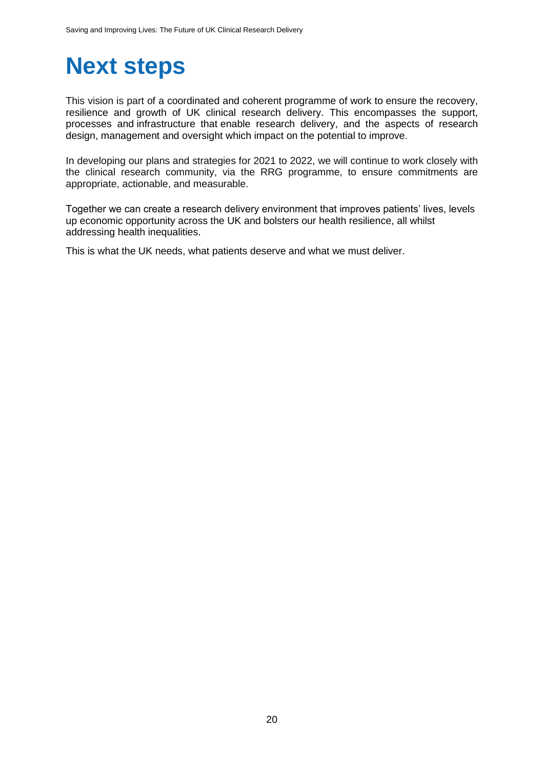## <span id="page-19-0"></span>**Next steps**

This vision is part of a coordinated and coherent programme of work to ensure the recovery, resilience and growth of UK clinical research delivery. This encompasses the support, processes and infrastructure that enable research delivery, and the aspects of research design, management and oversight which impact on the potential to improve.

In developing our plans and strategies for 2021 to 2022, we will continue to work closely with the clinical research community, via the RRG programme, to ensure commitments are appropriate, actionable, and measurable.

Together we can create a research delivery environment that improves patients' lives, levels up economic opportunity across the UK and bolsters our health resilience, all whilst addressing health inequalities.

This is what the UK needs, what patients deserve and what we must deliver.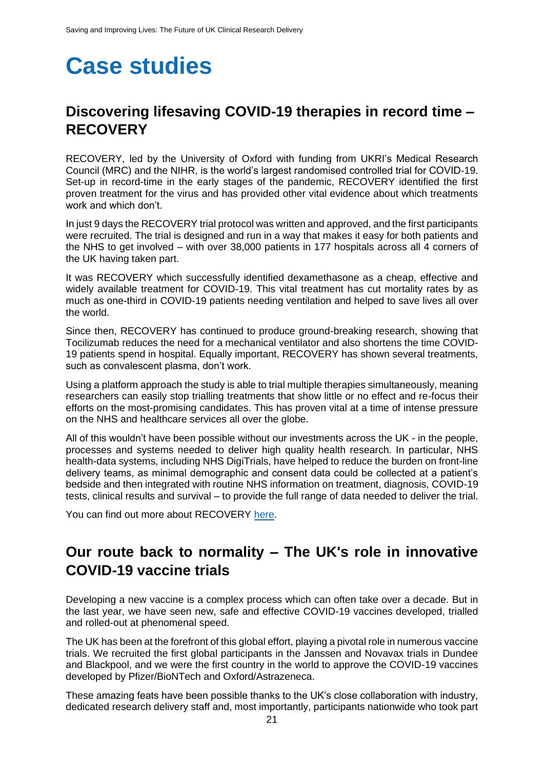## **Case studies**

### <span id="page-20-0"></span>**Discovering lifesaving COVID-19 therapies in record time – RECOVERY**

RECOVERY, led by the University of Oxford with funding from UKRI's Medical Research Council (MRC) and the NIHR, is the world's largest randomised controlled trial for COVID-19. Set-up in record-time in the early stages of the pandemic, RECOVERY identified the first proven treatment for the virus and has provided other vital evidence about which treatments work and which don't.

In just 9 days the RECOVERY trial protocol was written and approved, and the first participants were recruited. The trial is designed and run in a way that makes it easy for both patients and the NHS to get involved – with over 38,000 patients in 177 hospitals across all 4 corners of the UK having taken part.

It was RECOVERY which successfully identified dexamethasone as a cheap, effective and widely available treatment for COVID-19. This vital treatment has cut mortality rates by as much as one-third in COVID-19 patients needing ventilation and helped to save lives all over the world.

Since then, RECOVERY has continued to produce ground-breaking research, showing that Tocilizumab reduces the need for a mechanical ventilator and also shortens the time COVID-19 patients spend in hospital. Equally important, RECOVERY has shown several treatments, such as convalescent plasma, don't work.

Using a platform approach the study is able to trial multiple therapies simultaneously, meaning researchers can easily stop trialling treatments that show little or no effect and re-focus their efforts on the most-promising candidates. This has proven vital at a time of intense pressure on the NHS and healthcare services all over the globe.

All of this wouldn't have been possible without our investments across the UK - in the people, processes and systems needed to deliver high quality health research. In particular, NHS health-data systems, including NHS DigiTrials, have helped to reduce the burden on front-line delivery teams, as minimal demographic and consent data could be collected at a patient's bedside and then integrated with routine NHS information on treatment, diagnosis, COVID-19 tests, clinical results and survival – to provide the full range of data needed to deliver the trial.

You can find out more about RECOVERY [here.](https://www.recoverytrial.net/)

#### <span id="page-20-1"></span>**Our route back to normality – The UK's role in innovative COVID-19 vaccine trials**

Developing a new vaccine is a complex process which can often take over a decade. But in the last year, we have seen new, safe and effective COVID-19 vaccines developed, trialled and rolled-out at phenomenal speed.

The UK has been at the forefront of this global effort, playing a pivotal role in numerous vaccine trials. We recruited the first global participants in the Janssen and Novavax trials in Dundee and Blackpool, and we were the first country in the world to approve the COVID-19 vaccines developed by Pfizer/BioNTech and Oxford/Astrazeneca.

These amazing feats have been possible thanks to the UK's close collaboration with industry, dedicated research delivery staff and, most importantly, participants nationwide who took part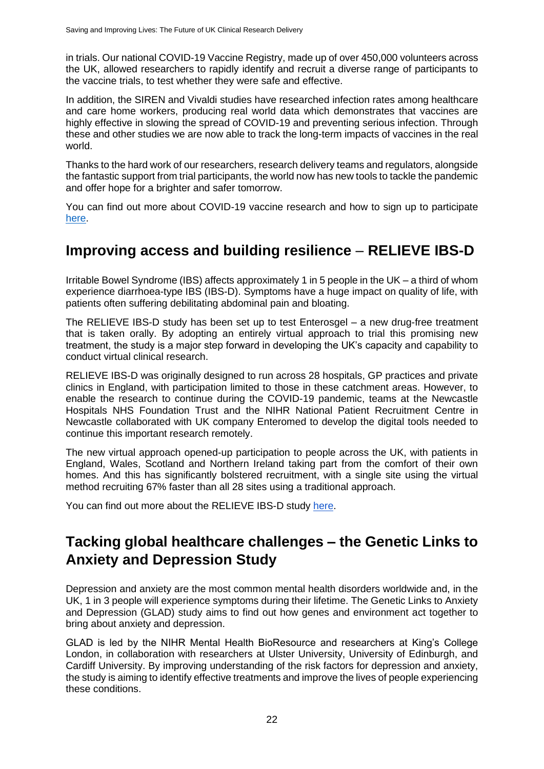in trials. Our national COVID-19 Vaccine Registry, made up of over 450,000 volunteers across the UK, allowed researchers to rapidly identify and recruit a diverse range of participants to the vaccine trials, to test whether they were safe and effective.

In addition, the SIREN and Vivaldi studies have researched infection rates among healthcare and care home workers, producing real world data which demonstrates that vaccines are highly effective in slowing the spread of COVID-19 and preventing serious infection. Through these and other studies we are now able to track the long-term impacts of vaccines in the real world.

Thanks to the hard work of our researchers, research delivery teams and regulators, alongside the fantastic support from trial participants, the world now has new tools to tackle the pandemic and offer hope for a brighter and safer tomorrow.

You can find out more about COVID-19 vaccine research and how to sign up to participate [here.](https://bepartofresearch.nihr.ac.uk/vaccine-studies/)

#### <span id="page-21-0"></span>**Improving access and building resilience** *–* **RELIEVE IBS-D**

Irritable Bowel Syndrome (IBS) affects approximately 1 in 5 people in the UK – a third of whom experience diarrhoea-type IBS (IBS-D). Symptoms have a huge impact on quality of life, with patients often suffering debilitating abdominal pain and bloating.

The RELIEVE IBS-D study has been set up to test Enterosgel – a new drug-free treatment that is taken orally. By adopting an entirely virtual approach to trial this promising new treatment, the study is a major step forward in developing the UK's capacity and capability to conduct virtual clinical research.

RELIEVE IBS-D was originally designed to run across 28 hospitals, GP practices and private clinics in England, with participation limited to those in these catchment areas. However, to enable the research to continue during the COVID-19 pandemic, teams at the Newcastle Hospitals NHS Foundation Trust and the NIHR National Patient Recruitment Centre in Newcastle collaborated with UK company Enteromed to develop the digital tools needed to continue this important research remotely.

The new virtual approach opened-up participation to people across the UK, with patients in England, Wales, Scotland and Northern Ireland taking part from the comfort of their own homes. And this has significantly bolstered recruitment, with a single site using the virtual method recruiting 67% faster than all 28 sites using a traditional approach.

You can find out more about the RELIEVE IBS-D study [here.](https://www.nihr.ac.uk/news/virtual-trial-recruits-67-faster-led-by-nihr-patient-recruitment-centre-in-newcastle-in-collaboration-with-enteromed/26290)

### <span id="page-21-1"></span>**Tacking global healthcare challenges – the Genetic Links to Anxiety and Depression Study**

Depression and anxiety are the most common mental health disorders worldwide and, in the UK, 1 in 3 people will experience symptoms during their lifetime. The Genetic Links to Anxiety and Depression (GLAD) study aims to find out how genes and environment act together to bring about anxiety and depression.

GLAD is led by the NIHR Mental Health BioResource and researchers at King's College London, in collaboration with researchers at Ulster University, University of Edinburgh, and Cardiff University. By improving understanding of the risk factors for depression and anxiety, the study is aiming to identify effective treatments and improve the lives of people experiencing these conditions.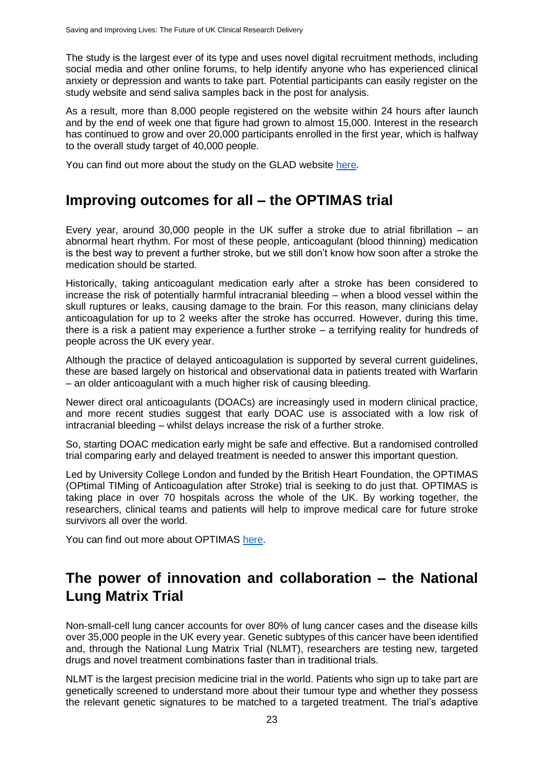The study is the largest ever of its type and uses novel digital recruitment methods, including social media and other online forums, to help identify anyone who has experienced clinical anxiety or depression and wants to take part. Potential participants can easily register on the study website and send saliva samples back in the post for analysis.

As a result, more than 8,000 people registered on the website within 24 hours after launch and by the end of week one that figure had grown to almost 15,000. Interest in the research has continued to grow and over 20,000 participants enrolled in the first year, which is halfway to the overall study target of 40,000 people.

You can find out more about the study on the GLAD website [here.](https://gladstudy.org.uk/)

#### <span id="page-22-0"></span>**Improving outcomes for all – the OPTIMAS trial**

Every year, around 30,000 people in the UK suffer a stroke due to atrial fibrillation – an abnormal heart rhythm. For most of these people, anticoagulant (blood thinning) medication is the best way to prevent a further stroke, but we still don't know how soon after a stroke the medication should be started.

Historically, taking anticoagulant medication early after a stroke has been considered to increase the risk of potentially harmful intracranial bleeding – when a blood vessel within the skull ruptures or leaks, causing damage to the brain. For this reason, many clinicians delay anticoagulation for up to 2 weeks after the stroke has occurred. However, during this time, there is a risk a patient may experience a further stroke – a terrifying reality for hundreds of people across the UK every year.

Although the practice of delayed anticoagulation is supported by several current guidelines, these are based largely on historical and observational data in patients treated with Warfarin – an older anticoagulant with a much higher risk of causing bleeding.

Newer direct oral anticoagulants (DOACs) are increasingly used in modern clinical practice, and more recent studies suggest that early DOAC use is associated with a low risk of intracranial bleeding – whilst delays increase the risk of a further stroke.

So, starting DOAC medication early might be safe and effective. But a randomised controlled trial comparing early and delayed treatment is needed to answer this important question.

Led by University College London and funded by the British Heart Foundation, the OPTIMAS (OPtimal TIMing of Anticoagulation after Stroke) trial is seeking to do just that. OPTIMAS is taking place in over 70 hospitals across the whole of the UK. By working together, the researchers, clinical teams and patients will help to improve medical care for future stroke survivors all over the world.

You can find out more about OPTIMAS [here.](https://optimas.org.uk/about)

## <span id="page-22-1"></span>**The power of innovation and collaboration – the National Lung Matrix Trial**

Non-small-cell lung cancer accounts for over 80% of lung cancer cases and the disease kills over 35,000 people in the UK every year. Genetic subtypes of this cancer have been identified and, through the National Lung Matrix Trial (NLMT), researchers are testing new, targeted drugs and novel treatment combinations faster than in traditional trials.

NLMT is the largest precision medicine trial in the world. Patients who sign up to take part are genetically screened to understand more about their tumour type and whether they possess the relevant genetic signatures to be matched to a targeted treatment. The trial's adaptive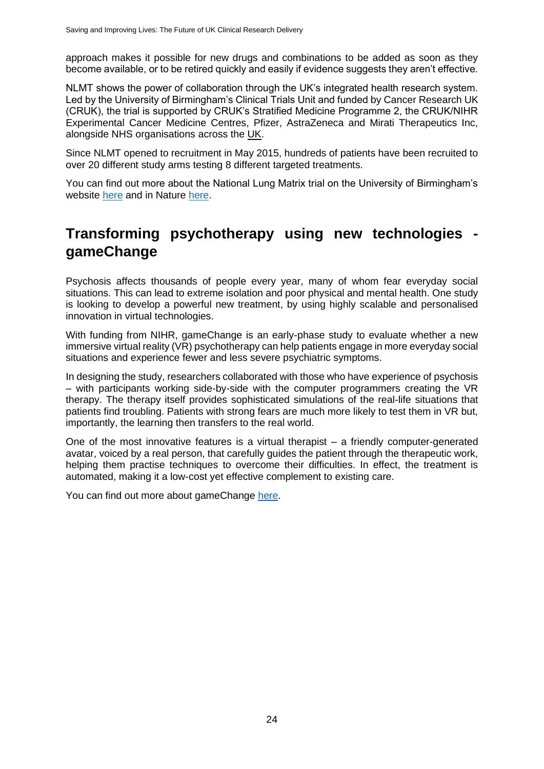approach makes it possible for new drugs and combinations to be added as soon as they become available, or to be retired quickly and easily if evidence suggests they aren't effective.

NLMT shows the power of collaboration through the UK's integrated health research system. Led by the University of Birmingham's Clinical Trials Unit and funded by Cancer Research UK (CRUK), the trial is supported by CRUK's Stratified Medicine Programme 2, the CRUK/NIHR Experimental Cancer Medicine Centres, Pfizer, AstraZeneca and Mirati Therapeutics Inc, alongside NHS organisations across the UK.

Since NLMT opened to recruitment in May 2015, hundreds of patients have been recruited to over 20 different study arms testing 8 different targeted treatments.

You can find out more about the National Lung Matrix trial on the University of Birmingham's website [here](https://www.birmingham.ac.uk/research/crctu/trials/lung-matrix/index.aspx) and in Nature [here.](https://www.nature.com/articles/s41586-020-2481-8)

### <span id="page-23-0"></span>**Transforming psychotherapy using new technologies gameChange**

Psychosis affects thousands of people every year, many of whom fear everyday social situations. This can lead to extreme isolation and poor physical and mental health. One study is looking to develop a powerful new treatment, by using highly scalable and personalised innovation in virtual technologies.

With funding from NIHR, gameChange is an early-phase study to evaluate whether a new immersive virtual reality (VR) psychotherapy can help patients engage in more everyday social situations and experience fewer and less severe psychiatric symptoms.

In designing the study, researchers collaborated with those who have experience of psychosis – with participants working side-by-side with the computer programmers creating the VR therapy. The therapy itself provides sophisticated simulations of the real-life situations that patients find troubling. Patients with strong fears are much more likely to test them in VR but, importantly, the learning then transfers to the real world.

One of the most innovative features is a virtual therapist – a friendly computer-generated avatar, voiced by a real person, that carefully guides the patient through the therapeutic work, helping them practise techniques to overcome their difficulties. In effect, the treatment is automated, making it a low-cost yet effective complement to existing care.

You can find out more about gameChange [here.](https://oxfordhealthbrc.nihr.ac.uk/virtual-reality-transforms-psychological-therapy/)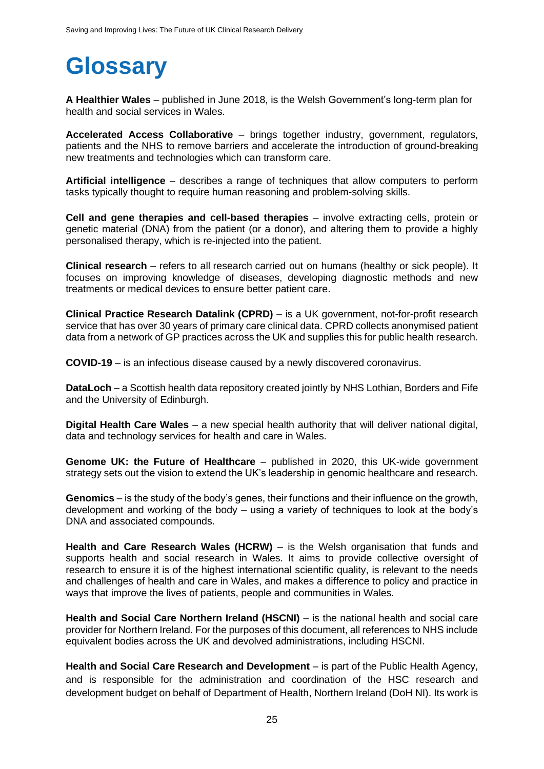## <span id="page-24-0"></span>**Glossary**

**A Healthier Wales** – published in June 2018, is the Welsh Government's long-term plan for health and social services in Wales.

**Accelerated Access Collaborative** – brings together industry, government, regulators, patients and the NHS to remove barriers and accelerate the introduction of ground-breaking new treatments and technologies which can transform care.

**Artificial intelligence** – describes a range of techniques that allow computers to perform tasks typically thought to require human reasoning and problem-solving skills.

**Cell and gene therapies and cell-based therapies** – involve extracting cells, protein or genetic material (DNA) from the patient (or a donor), and altering them to provide a highly personalised therapy, which is re-injected into the patient.

**Clinical research** – refers to all research carried out on humans (healthy or sick people). It focuses on improving knowledge of diseases, developing diagnostic methods and new treatments or medical devices to ensure better patient care.

**Clinical Practice Research Datalink (CPRD)** – is a UK government, not-for-profit research service that has over 30 years of primary care clinical data. CPRD collects anonymised patient data from a network of GP practices across the UK and supplies this for public health research.

**COVID-19** – is an infectious disease caused by a newly discovered coronavirus.

**DataLoch** – a Scottish health data repository created jointly by NHS Lothian, Borders and Fife and the University of Edinburgh.

**Digital Health Care Wales** – a new special health authority that will deliver national digital, data and technology services for health and care in Wales.

**Genome UK: the Future of Healthcare** – published in 2020, this UK-wide government strategy sets out the vision to extend the UK's leadership in genomic healthcare and research.

**Genomics** – is the study of the body's genes, their functions and their influence on the growth, development and working of the body – using a variety of techniques to look at the body's DNA and associated compounds.

**Health and Care Research Wales (HCRW)** – is the Welsh organisation that funds and supports health and social research in Wales. It aims to provide collective oversight of research to ensure it is of the highest international scientific quality, is relevant to the needs and challenges of health and care in Wales, and makes a difference to policy and practice in ways that improve the lives of patients, people and communities in Wales.

**Health and Social Care Northern Ireland (HSCNI)** – is the national health and social care provider for Northern Ireland. For the purposes of this document, all references to NHS include equivalent bodies across the UK and devolved administrations, including HSCNI.

**Health and Social Care Research and Development** – is part of the Public Health Agency, and is responsible for the administration and coordination of the HSC research and development budget on behalf o[f](https://www.health-ni.gov.uk/) Department of Health, Northern Ireland (DoH NI). Its work is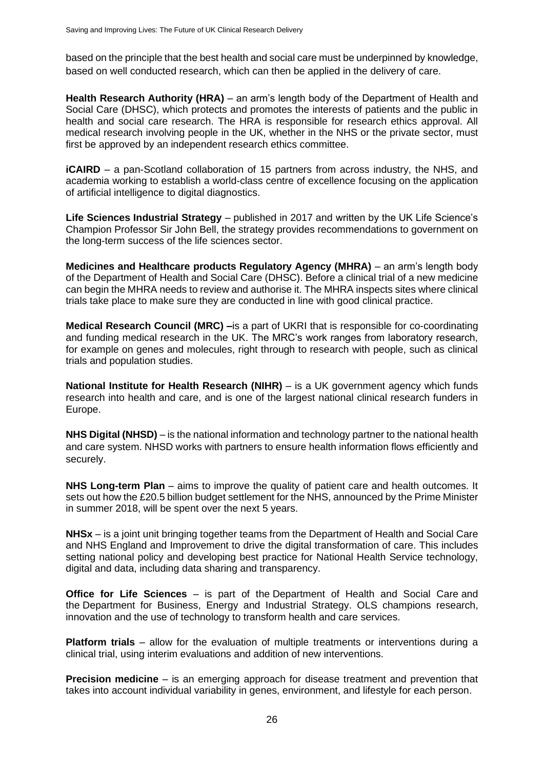based on the principle that the best health and social care must be underpinned by knowledge, based on well conducted research, which can then be applied in the delivery of care.

**Health Research Authority (HRA)** – an arm's length body of the Department of Health and Social Care (DHSC), which protects and promotes the interests of patients and the public in health and social care research. The HRA is responsible for research ethics approval. All medical research involving people in the UK, whether in the NHS or the private sector, must first be approved by an independent research ethics committee.

**iCAIRD** – a pan-Scotland collaboration of 15 partners from across industry, the NHS, and academia working to establish a world-class centre of excellence focusing on the application of artificial intelligence to digital diagnostics.

**Life Sciences Industrial Strategy** – published in 2017 and written by the UK Life Science's Champion Professor Sir John Bell, the strategy provides recommendations to government on the long-term success of the life sciences sector.

**Medicines and Healthcare products Regulatory Agency (MHRA)** – an arm's length body of the Department of Health and Social Care (DHSC). Before a clinical trial of a new medicine can begin the MHRA needs to review and authorise it. The MHRA inspects sites where clinical trials take place to make sure they are conducted in line with good clinical practice.

**Medical Research Council (MRC) –**is a part of UKRI that is responsible for co-coordinating and funding medical research in the UK. The MRC's work ranges from laboratory research, for example on genes and molecules, right through to research with people, such as clinical trials and population studies.

**National Institute for Health Research (NIHR)** – is a UK government agency which funds research into health and care, and is one of the largest national clinical research funders in Europe.

**NHS Digital (NHSD)** – is the national information and technology partner to the national health and care system. NHSD works with partners to ensure health information flows efficiently and securely.

**NHS Long-term Plan** – aims to improve the quality of patient care and health outcomes. It sets out how the £20.5 billion budget settlement for the NHS, announced by the Prime Minister in summer 2018, will be spent over the next 5 years.

**NHSx** – is a joint unit bringing together teams from the Department of Health and Social Care and NHS England and Improvement to drive the digital transformation of care. This includes setting national policy and developing best practice for National Health Service technology, digital and data, including data sharing and transparency.

**Office for Life Sciences** – is part of the [Department of Health and Social Care](https://www.gov.uk/government/organisations/department-of-health-and-social-care) and the [Department for Business, Energy and](https://www.gov.uk/government/organisations/department-for-business-energy-and-industrial-strategy) Industrial Strategy. OLS champions research, innovation and the use of technology to transform health and care services.

**Platform trials** – allow for the evaluation of multiple treatments or interventions during a clinical trial, using interim evaluations and addition of new interventions.

**Precision medicine** – is an emerging approach for disease treatment and prevention that takes into account individual variability in genes, environment, and lifestyle for each person.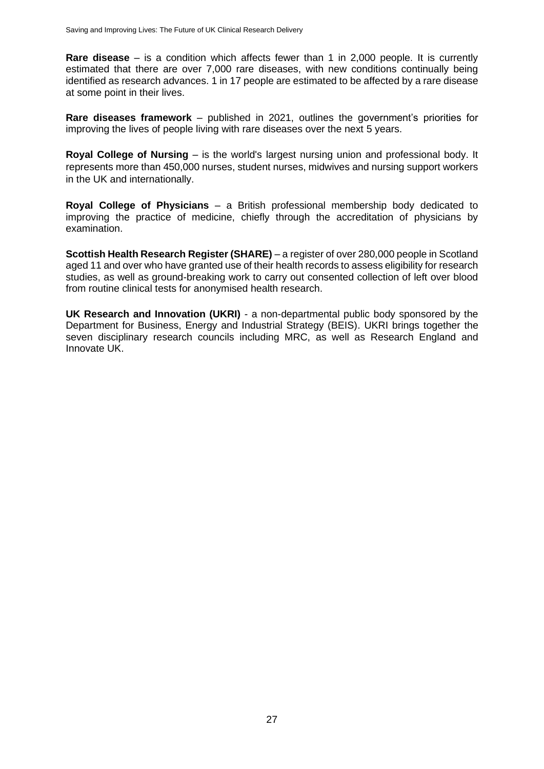**Rare disease** – is a condition which affects fewer than 1 in 2,000 people. It is currently estimated that there are over 7,000 rare diseases, with new conditions continually being identified as research advances. 1 in 17 people are estimated to be affected by a rare disease at some point in their lives.

**Rare diseases framework** – published in 2021, outlines the government's priorities for improving the lives of people living with rare diseases over the next 5 years.

**Royal College of Nursing** – is the world's largest nursing union and professional body. It represents more than 450,000 nurses, student nurses, midwives and nursing support workers in the UK and internationally.

**Royal College of Physicians** – a British professional membership body dedicated to improving the practice of medicine, chiefly through the accreditation of physicians by examination.

**Scottish Health Research Register (SHARE)** – a register of over 280,000 people in Scotland aged 11 and over who have granted use of their health records to assess eligibility for research studies, as well as ground-breaking work to carry out consented collection of left over blood from routine clinical tests for anonymised health research.

**UK Research and Innovation (UKRI)** - a non-departmental public body sponsored by the Department for Business, Energy and Industrial Strategy (BEIS). UKRI brings together the seven disciplinary research councils including MRC, as well as Research England and Innovate UK.